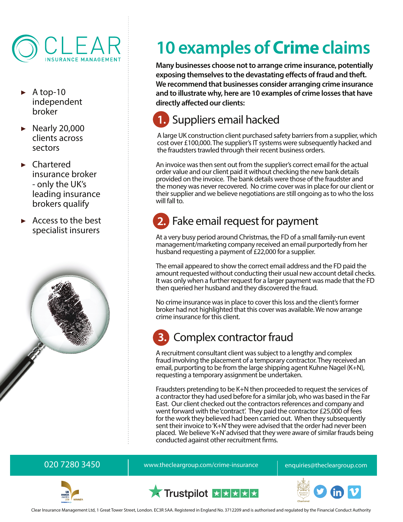

- ▶ A top-10 independent broker
- $\blacktriangleright$  Nearly 20,000 clients across sectors
- ▶ Chartered insurance broker - only the UK's leading insurance brokers qualify
- ▶ Access to the best specialist insurers



# **10 examples of Crime claims**

**Many businesses choose not to arrange crime insurance, potentially exposing themselves to the devastating effects of fraud and theft. We recommend that businesses consider arranging crime insurance and to illustrate why, here are 10 examples of crime losses that have directly affected our clients:**

### **1.** Suppliers email hacked

A large UK construction client purchased safety barriers from a supplier, which cost over £100,000. The supplier's IT systems were subsequently hacked and the fraudsters trawled through their recent business orders.

An invoice was then sent out from the supplier's correct email for the actual order value and our client paid it without checking the new bank details provided on the invoice. The bank details were those of the fraudster and the money was never recovered. No crime cover was in place for our client or their supplier and we believe negotiations are still ongoing as to who the loss will fall to.

### **2.** Fake email request for payment

At a very busy period around Christmas, the FD of a small family-run event management/marketing company received an email purportedly from her husband requesting a payment of £22,000 for a supplier.

The email appeared to show the correct email address and the FD paid the amount requested without conducting their usual new account detail checks. It was only when a further request for a larger payment was made that the FD then queried her husband and they discovered the fraud.

No crime insurance was in place to cover this loss and the client's former broker had not highlighted that this cover was available. We now arrange crime insurance for this client.

### **3.** Complex contractor fraud

A recruitment consultant client was subject to a lengthy and complex fraud involving the placement of a temporary contractor. They received an email, purporting to be from the large shipping agent Kuhne Nagel (K+N), requesting a temporary assignment be undertaken.

Fraudsters pretending to be K+N then proceeded to request the services of a contractor they had used before for a similar job, who was based in the Far East. Our client checked out the contractors references and company and went forward with the 'contract'. They paid the contractor £25,000 of fees for the work they believed had been carried out. When they subsequently sent their invoice to 'K+N' they were advised that the order had never been placed. We believe 'K+N' advised that they were aware of similar frauds being conducted against other recruitment firms.

020 7280 3450 **bubbs 100 mg/maga areas in the vertical control** enquiries@thecleargroup.com







Clear Insurance Management Ltd, 1 Great Tower Street, London. EC3R 5AA. Registered in England No. 3712209 and is authorised and regulated by the Financial Conduct Authority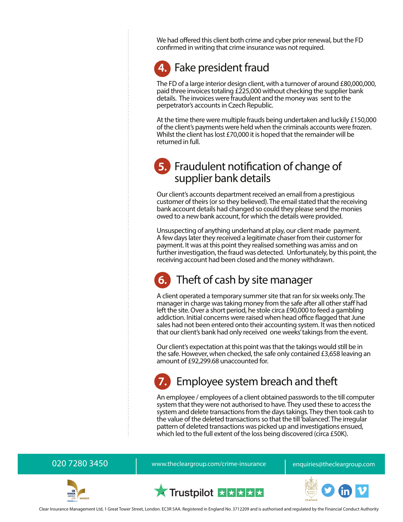We had offered this client both crime and cyber prior renewal, but the FD confirmed in writing that crime insurance was not required.

### **4.** Fake president fraud

The FD of a large interior design client, with a turnover of around £80,000,000, paid three invoices totaling £225,000 without checking the supplier bank details. The invoices were fraudulent and the money was sent to the perpetrator's accounts in Czech Republic.

At the time there were multiple frauds being undertaken and luckily £150,000 of the client's payments were held when the criminals accounts were frozen. Whilst the client has lost £70,000 it is hoped that the remainder will be returned in full.

### **5.** Fraudulent notification of change of supplier bank details

Our client's accounts department received an email from a prestigious customer of theirs (or so they believed). The email stated that the receiving bank account details had changed so could they please send the monies owed to a new bank account, for which the details were provided.

Unsuspecting of anything underhand at play, our client made payment. A few days later they received a legitimate chaser from their customer for payment. It was at this point they realised something was amiss and on further investigation, the fraud was detected. Unfortunately, by this point, the receiving account had been closed and the money withdrawn.

### **6.** Theft of cash by site manager

A client operated a temporary summer site that ran for six weeks only. The manager in charge was taking money from the safe after all other staff had left the site. Over a short period, he stole circa £90,000 to feed a gambling addiction. Initial concerns were raised when head office flagged that June sales had not been entered onto their accounting system. It was then noticed that our client's bank had only received one weeks' takings from the event.

Our client's expectation at this point was that the takings would still be in the safe. However, when checked, the safe only contained £3,658 leaving an amount of £92,299.68 unaccounted for.

### **7.** Employee system breach and theft

An employee / employees of a client obtained passwords to the till computer system that they were not authorised to have. They used these to access the system and delete transactions from the days takings. They then took cash to the value of the deleted transactions so that the till 'balanced'. The irregular pattern of deleted transactions was picked up and investigations ensued, which led to the full extent of the loss being discovered (circa £50K).

020 7280 3450 **bubbs 1020 7280 3450** www.thecleargroup.com/crime-insurance and enquiries@thecleargroup.com



X Trustpilot XXXXX



Clear Insurance Management Ltd, 1 Great Tower Street, London. EC3R 5AA. Registered in England No. 3712209 and is authorised and regulated by the Financial Conduct Authority